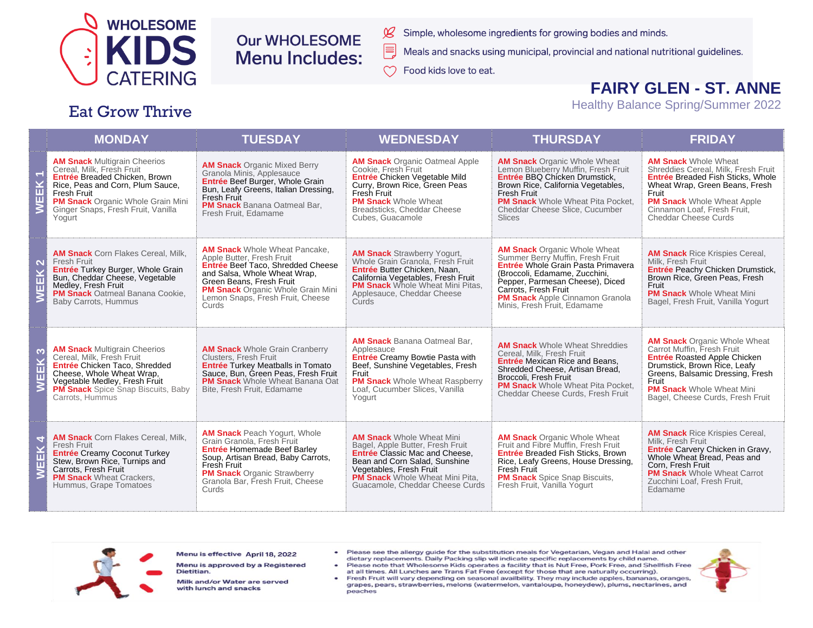

**Eat Grow Thrive** 

### **Our WHOLESOME Menu Includes:**

- Simple, wholesome ingredients for growing bodies and minds.
- Meals and snacks using municipal, provincial and national nutritional guidelines.
- Food kids love to eat.

## **FAIRY GLEN - ST. ANNE**

**Healthy Balance Spring/Summer 2022** 

### **THURSDAY MONDAY TUESDAY WEDNESDAY FRIDAY AM Snack Multigrain Cheerios AM Snack** Organic Oatmeal Apple **AM Snack** Organic Whole Wheat **AM Snack Whole Wheat AM Snack Organic Mixed Berry** Cereal, Milk, Fresh Fruit Lemon Blueberry Muffin, Fresh Fruit Shreddies Cereal, Milk, Fresh Fruit Cookie. Fresh Fruit Granola Minis. Applesauce EK<sub>1</sub> Entrée Breaded Chicken, Brown Entrée Chicken Vegetable Mild Entrée BBQ Chicken Drumstick, **Entrée Breaded Fish Sticks, Whole** Entrée Beef Burger, Whole Grain Rice, Peas and Corn. Plum Sauce. Curry, Brown Rice, Green Peas Brown Rice, California Vegetables, Wheat Wrap, Green Beans, Fresh Bun, Leafy Greens, Italian Dressing. Fresh Fruit Fresh Fruit Fresh Fruit Fruit Fresh Fruit 面 **PM Snack Organic Whole Grain Mini PM Snack Whole Wheat PM Snack** Whole Wheat Pita Pocket, **PM Snack Whole Wheat Apple** PM Snack Banana Oatmeal Bar.  $\geq$ Ginger Snaps, Fresh Fruit, Vanilla Breadsticks, Cheddar Cheese Cheddar Cheese Slice, Cucumber Cinnamon Loaf. Fresh Fruit. Fresh Fruit, Edamame Yogurt Cubes, Guacamole **Slices** Cheddar Cheese Curds **AM Snack Whole Wheat Pancake AM Snack Organic Whole Wheat AM Snack** Corn Flakes Cereal, Milk. **AM Snack Strawberry Yogurt, AM Snack** Rice Krispies Cereal. Apple Butter, Fresh Fruit Summer Berry Muffin, Fresh Fruit Fresh Fruit Whole Grain Granola. Fresh Fruit Milk. Fresh Fruit  $\overline{\mathbf{N}}$ Entrée Beef Taco, Shredded Cheese Entrée Whole Grain Pasta Primavera Entrée Turkey Burger, Whole Grain Entrée Butter Chicken, Naan. Entrée Peachy Chicken Drumstick.  $\overline{\mathbf{k}}$ and Salsa, Whole Wheat Wrap, (Broccoli, Edamame, Zucchini, Bun, Cheddar Cheese, Vegetable Brown Rice, Green Peas, Fresh California Vegetables, Fresh Fruit Green Beans, Fresh Fruit Pepper, Parmesan Cheese), Diced Medley, Fresh Fruit **PM Snack** Whole Wheat Mini Pitas, Fruit Ш **PM Snack** Organic Whole Grain Mini Carrots, Fresh Fruit PM Snack Oatmeal Banana Cookie, Applesauce, Cheddar Cheese **PM Snack Whole Wheat Mini**  $\overline{\mathsf{z}}$ Lemon Snaps. Fresh Fruit. Cheese **PM Snack** Apple Cinnamon Granola Baby Carrots, Hummus Bagel, Fresh Fruit, Vanilla Yogurt Curds Curds Minis, Fresh Fruit, Edamame **AM Snack** Banana Oatmeal Bar, **AM Snack Organic Whole Wheat AM Snack** Whole Wheat Shreddies **AM Snack Multigrain Cheerios**<br>Cereal, Milk, Fresh Fruit Carrot Muffin, Fresh Fruit **AM Snack** Whole Grain Cranberry Applesauce EEK<sub>3</sub> Cereal, Milk, Fresh Fruit Clusters, Fresh Fruit Entrée Creamy Bowtie Pasta with Entrée Roasted Apple Chicken **Entrée** Mexican Rice and Beans, Entrée Chicken Taco, Shredded **Entrée Turkey Meatballs in Tomato** Beef, Sunshine Vegetables, Fresh Drumstick, Brown Rice, Leafy Shredded Cheese, Artisan Bread. Cheese, Whole Wheat Wrap, Sauce, Bun, Green Peas, Fresh Fruit Fruit Greens, Balsamic Dressing, Fresh Broccoli, Fresh Fruit Vegetable Medley, Fresh Fruit **PM Snack** Whole Wheat Banana Oat **PM Snack** Whole Wheat Raspberry Fruit ξ **PM Snack** Whole Wheat Pita Pocket. **PM Snack** Spice Snap Biscuits, Baby Bite, Fresh Fruit, Edamame Loaf, Cucumber Slices, Vanilla **PM Snack** Whole Wheat Mini Cheddar Cheese Curds, Fresh Fruit Carrots, Hummus Yogurt Bagel, Cheese Curds, Fresh Fruit **AM Snack Peach Yogurt. Whole AM Snack Rice Krispies Cereal. AM Snack** Corn Flakes Cereal, Milk. **AM Snack Whole Wheat Mini AM Snack Organic Whole Wheat** EEK 4 Grain Granola, Fresh Fruit Milk, Fresh Fruit Bagel, Apple Butter, Fresh Fruit Fruit and Fibre Muffin. Fresh Fruit **Fresh Fruit** Entrée Homemade Beef Barley Entrée Carvery Chicken in Gravy. Entrée Creamy Coconut Turkey Entrée Classic Mac and Cheese. Entrée Breaded Fish Sticks, Brown Soup, Artisan Bread, Baby Carrots, Whole Wheat Bread, Peas and Stew, Brown Rice, Turnips and Bean and Corn Salad, Sunshine Rice, Leafy Greens, House Dressing, Fresh Fruit Corn. Fresh Fruit Carrots. Fresh Fruit Vegetables, Fresh Fruit Fresh Fruit **PM Snack** Whole Wheat Carrot  $\geq$ **PM Snack Organic Strawberry PM Snack Wheat Crackers, PM Snack** Whole Wheat Mini Pita, **PM Snack** Spice Snap Biscuits, Granola Bar, Fresh Fruit, Cheese Zucchini Loaf, Fresh Fruit, Hummus, Grape Tomatoes Guacamole, Cheddar Cheese Curds Fresh Fruit. Vanilla Yogurt Curds Edamame



Menu is effective April 18, 2022

Menu is approved by a Registered Dietitian.

Milk and/or Water are served with lunch and snacks

- Please see the allergy guide for the substitution meals for Vegetarian, Vegan and Halal and other dietary replacements. Daily Packing slip wil indicate specific replacements by child name.
- Please note that Wholesome Kids operates a facility that is Nut Free, Pork Free, and Shellfish Free at all times. All Lunches are Trans Fat Free (except for those that are naturally occurring).
- Fresh Fruit will vary depending on seasonal availbility. They may include apples, bananas, oranges, grapes, pears, strawberries, melons (watermelon, vantaloupe, honeydew), plums, nectarines, and peaches